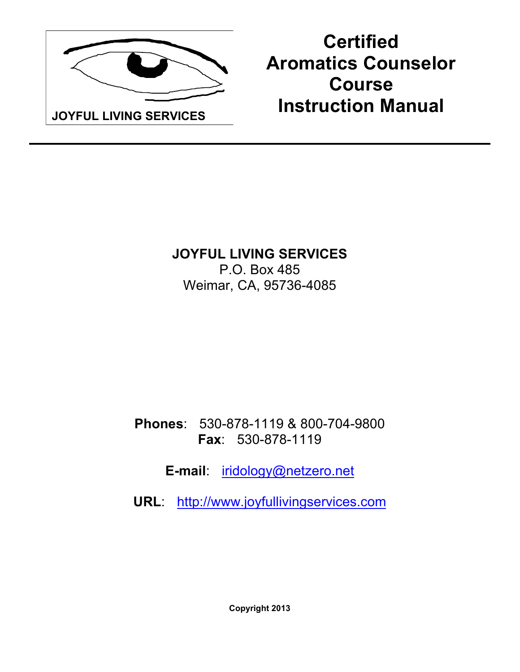

**Certified Aromatics Counselor Course Instruction Manual**

**JOYFUL LIVING SERVICES**  P.O. Box 485 Weimar, CA, 95736-4085

**Phones**: 530-878-1119 & 800-704-9800 **Fax**: 530-878-1119

**E-mail**: iridology@netzero.net

**URL**: http://www.joyfullivingservices.com

**Copyright 2013**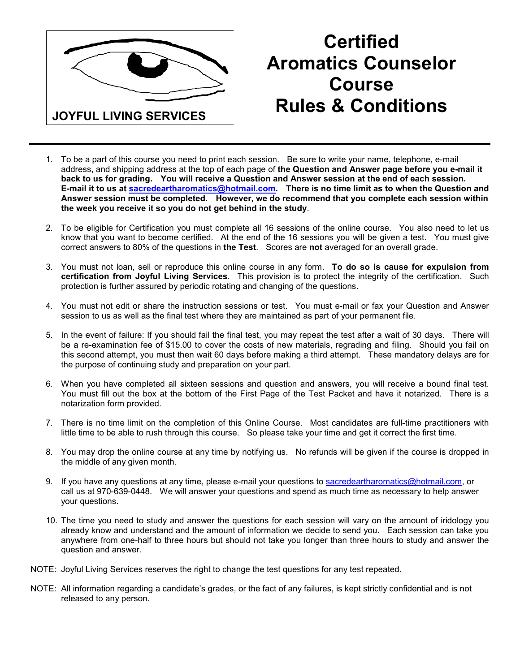

# **Certified Aromatics Counselor Course Rules & Conditions**

- 1. To be a part of this course you need to print each session. Be sure to write your name, telephone, e-mail address, and shipping address at the top of each page of **the Question and Answer page before you e-mail it back to us for grading. You will receive a Question and Answer session at the end of each session. E-mail it to us at sacredeartharomatics@hotmail.com. There is no time limit as to when the Question and Answer session must be completed. However, we do recommend that you complete each session within the week you receive it so you do not get behind in the study**.
- 2. To be eligible for Certification you must complete all 16 sessions of the online course. You also need to let us know that you want to become certified. At the end of the 16 sessions you will be given a test. You must give correct answers to 80% of the questions in **the Test**. Scores are **not** averaged for an overall grade.
- 3. You must not loan, sell or reproduce this online course in any form. **To do so is cause for expulsion from certification from Joyful Living Services**. This provision is to protect the integrity of the certification. Such protection is further assured by periodic rotating and changing of the questions.
- 4. You must not edit or share the instruction sessions or test. You must e-mail or fax your Question and Answer session to us as well as the final test where they are maintained as part of your permanent file.
- 5. In the event of failure: If you should fail the final test, you may repeat the test after a wait of 30 days. There will be a re-examination fee of \$15.00 to cover the costs of new materials, regrading and filing. Should you fail on this second attempt, you must then wait 60 days before making a third attempt. These mandatory delays are for the purpose of continuing study and preparation on your part.
- 6. When you have completed all sixteen sessions and question and answers, you will receive a bound final test. You must fill out the box at the bottom of the First Page of the Test Packet and have it notarized. There is a notarization form provided.
- 7. There is no time limit on the completion of this Online Course. Most candidates are full-time practitioners with little time to be able to rush through this course. So please take your time and get it correct the first time.
- 8. You may drop the online course at any time by notifying us. No refunds will be given if the course is dropped in the middle of any given month.
- 9. If you have any questions at any time, please e-mail your questions to sacredeartharomatics@hotmail.com, or call us at 970-639-0448. We will answer your questions and spend as much time as necessary to help answer your questions.
- 10. The time you need to study and answer the questions for each session will vary on the amount of iridology you already know and understand and the amount of information we decide to send you. Each session can take you anywhere from one-half to three hours but should not take you longer than three hours to study and answer the question and answer.
- NOTE: Joyful Living Services reserves the right to change the test questions for any test repeated.
- NOTE: All information regarding a candidate's grades, or the fact of any failures, is kept strictly confidential and is not released to any person.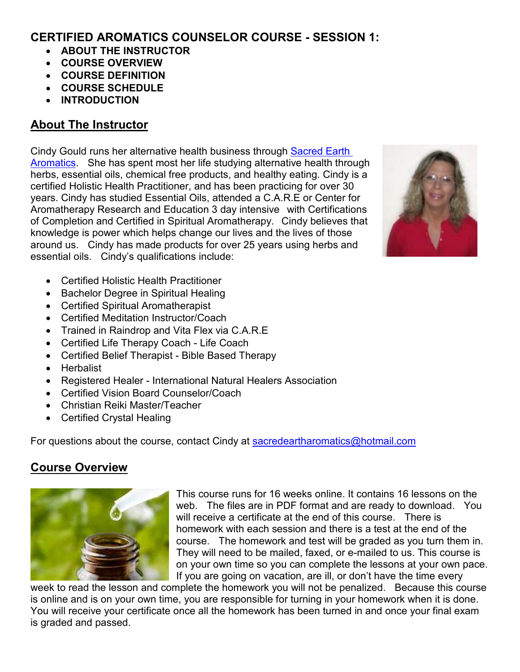#### **CERTIFIED AROMATICS COUNSELOR COURSE - SESSION 1:**

- **ABOUT THE INSTRUCTOR**
- **COURSE OVERVIEW**
- **COURSE DEFINITION**
- **COURSE SCHEDULE**
- **INTRODUCTION**

# **About The Instructor**

Cindy Gould runs her alternative health business through Sacred Earth Aromatics. She has spent most her life studying alternative health through herbs, essential oils, chemical free products, and healthy eating. Cindy is a certified Holistic Health Practitioner, and has been practicing for over 30 years. Cindy has studied Essential Oils, attended a C.A.R.E or Center for Aromatherapy Research and Education 3 day intensive with Certifications of Completion and Certified in Spiritual Aromatherapy. Cindy believes that knowledge is power which helps change our lives and the lives of those around us. Cindy has made products for over 25 years using herbs and essential oils. Cindy's qualifications include:



- Certified Holistic Health Practitioner
- Bachelor Degree in Spiritual Healing
- Certified Spiritual Aromatherapist
- Certified Meditation Instructor/Coach
- Trained in Raindrop and Vita Flex via C.A.R.E
- Certified Life Therapy Coach Life Coach
- Certified Belief Therapist Bible Based Therapy
- Herbalist
- Registered Healer International Natural Healers Association
- Certified Vision Board Counselor/Coach
- Christian Reiki Master/Teacher
- Certified Crystal Healing

For questions about the course, contact Cindy at sacredeartharomatics@hotmail.com

# **Course Overview**



This course runs for 16 weeks online. It contains 16 lessons on the web. The files are in PDF format and are ready to download. You will receive a certificate at the end of this course. There is homework with each session and there is a test at the end of the course. The homework and test will be graded as you turn them in. They will need to be mailed, faxed, or e-mailed to us. This course is on your own time so you can complete the lessons at your own pace. If you are going on vacation, are ill, or don't have the time every

week to read the lesson and complete the homework you will not be penalized. Because this course is online and is on your own time, you are responsible for turning in your homework when it is done. You will receive your certificate once all the homework has been turned in and once your final exam is graded and passed.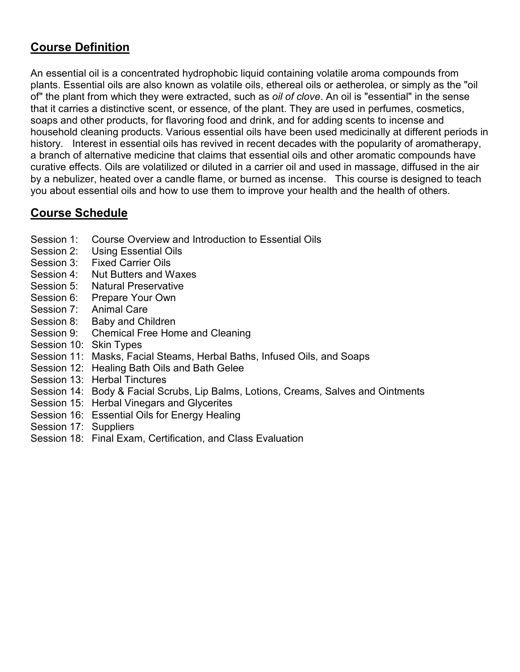# **Course Definition**

An essential oil is a concentrated hydrophobic liquid containing volatile aroma compounds from plants. Essential oils are also known as volatile oils, ethereal oils or aetherolea, or simply as the "oil of" the plant from which they were extracted, such as *oil of clove*. An oil is "essential" in the sense that it carries a distinctive scent, or essence, of the plant. They are used in perfumes, cosmetics, soaps and other products, for flavoring food and drink, and for adding scents to incense and household cleaning products. Various essential oils have been used medicinally at different periods in history. Interest in essential oils has revived in recent decades with the popularity of aromatherapy, a branch of alternative medicine that claims that essential oils and other aromatic compounds have curative effects. Oils are volatilized or diluted in a carrier oil and used in massage, diffused in the air by a nebulizer, heated over a candle flame, or burned as incense. This course is designed to teach you about essential oils and how to use them to improve your health and the health of others.

#### **Course Schedule**

- Session 1: Course Overview and Introduction to Essential Oils
- Session 2: Using Essential Oils
- Session 3: Fixed Carrier Oils
- Session 4: Nut Butters and Waxes
- Session 5: Natural Preservative
- Session 6: Prepare Your Own
- Session 7: Animal Care
- Session 8: Baby and Children
- Session 9: Chemical Free Home and Cleaning
- Session 10: Skin Types
- Session 11: Masks, Facial Steams, Herbal Baths, Infused Oils, and Soaps
- Session 12: Healing Bath Oils and Bath Gelee
- Session 13: Herbal Tinctures
- Session 14: Body & Facial Scrubs, Lip Balms, Lotions, Creams, Salves and Ointments
- Session 15: Herbal Vinegars and Glycerites
- Session 16: Essential Oils for Energy Healing
- Session 17: Suppliers
- Session 18: Final Exam, Certification, and Class Evaluation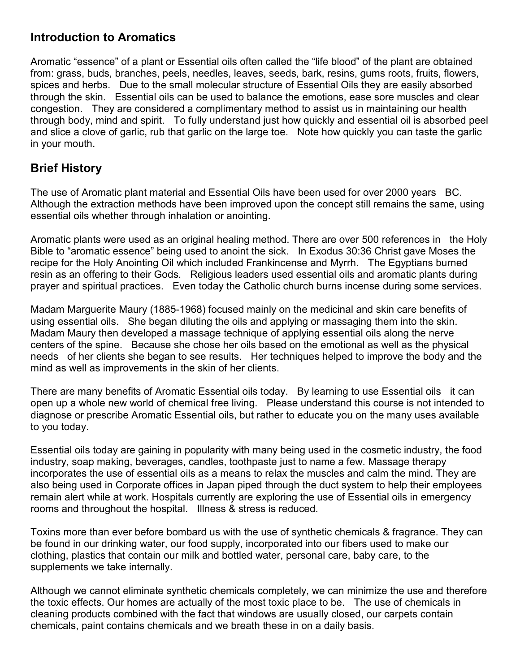#### **Introduction to Aromatics**

Aromatic "essence" of a plant or Essential oils often called the "life blood" of the plant are obtained from: grass, buds, branches, peels, needles, leaves, seeds, bark, resins, gums roots, fruits, flowers, spices and herbs. Due to the small molecular structure of Essential Oils they are easily absorbed through the skin. Essential oils can be used to balance the emotions, ease sore muscles and clear congestion. They are considered a complimentary method to assist us in maintaining our health through body, mind and spirit. To fully understand just how quickly and essential oil is absorbed peel and slice a clove of garlic, rub that garlic on the large toe. Note how quickly you can taste the garlic in your mouth.

#### **Brief History**

The use of Aromatic plant material and Essential Oils have been used for over 2000 years BC. Although the extraction methods have been improved upon the concept still remains the same, using essential oils whether through inhalation or anointing.

Aromatic plants were used as an original healing method. There are over 500 references in the Holy Bible to "aromatic essence" being used to anoint the sick. In Exodus 30:36 Christ gave Moses the recipe for the Holy Anointing Oil which included Frankincense and Myrrh. The Egyptians burned resin as an offering to their Gods. Religious leaders used essential oils and aromatic plants during prayer and spiritual practices. Even today the Catholic church burns incense during some services.

Madam Marguerite Maury (1885-1968) focused mainly on the medicinal and skin care benefits of using essential oils. She began diluting the oils and applying or massaging them into the skin. Madam Maury then developed a massage technique of applying essential oils along the nerve centers of the spine. Because she chose her oils based on the emotional as well as the physical needs of her clients she began to see results. Her techniques helped to improve the body and the mind as well as improvements in the skin of her clients.

There are many benefits of Aromatic Essential oils today. By learning to use Essential oils it can open up a whole new world of chemical free living. Please understand this course is not intended to diagnose or prescribe Aromatic Essential oils, but rather to educate you on the many uses available to you today.

Essential oils today are gaining in popularity with many being used in the cosmetic industry, the food industry, soap making, beverages, candles, toothpaste just to name a few. Massage therapy incorporates the use of essential oils as a means to relax the muscles and calm the mind. They are also being used in Corporate offices in Japan piped through the duct system to help their employees remain alert while at work. Hospitals currently are exploring the use of Essential oils in emergency rooms and throughout the hospital. Illness & stress is reduced.

Toxins more than ever before bombard us with the use of synthetic chemicals & fragrance. They can be found in our drinking water, our food supply, incorporated into our fibers used to make our clothing, plastics that contain our milk and bottled water, personal care, baby care, to the supplements we take internally.

Although we cannot eliminate synthetic chemicals completely, we can minimize the use and therefore the toxic effects. Our homes are actually of the most toxic place to be. The use of chemicals in cleaning products combined with the fact that windows are usually closed, our carpets contain chemicals, paint contains chemicals and we breath these in on a daily basis.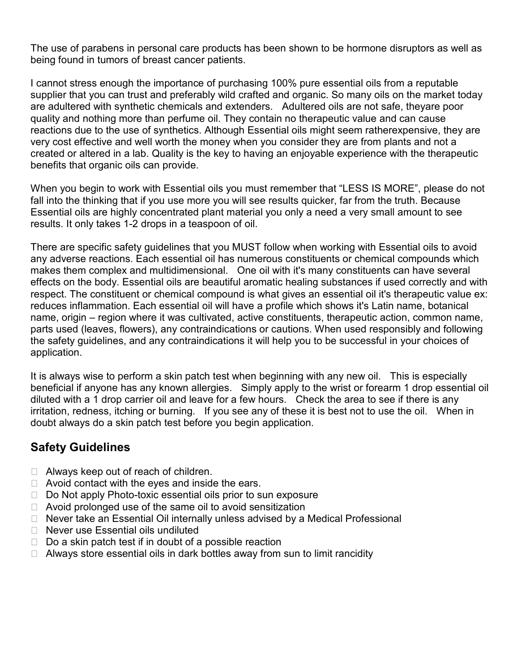The use of parabens in personal care products has been shown to be hormone disruptors as well as being found in tumors of breast cancer patients.

I cannot stress enough the importance of purchasing 100% pure essential oils from a reputable supplier that you can trust and preferably wild crafted and organic. So many oils on the market today are adultered with synthetic chemicals and extenders. Adultered oils are not safe, theyare poor quality and nothing more than perfume oil. They contain no therapeutic value and can cause reactions due to the use of synthetics. Although Essential oils might seem ratherexpensive, they are very cost effective and well worth the money when you consider they are from plants and not a created or altered in a lab. Quality is the key to having an enjoyable experience with the therapeutic benefits that organic oils can provide.

When you begin to work with Essential oils you must remember that "LESS IS MORE", please do not fall into the thinking that if you use more you will see results quicker, far from the truth. Because Essential oils are highly concentrated plant material you only a need a very small amount to see results. It only takes 1-2 drops in a teaspoon of oil.

There are specific safety guidelines that you MUST follow when working with Essential oils to avoid any adverse reactions. Each essential oil has numerous constituents or chemical compounds which makes them complex and multidimensional. One oil with it's many constituents can have several effects on the body. Essential oils are beautiful aromatic healing substances if used correctly and with respect. The constituent or chemical compound is what gives an essential oil it's therapeutic value ex: reduces inflammation. Each essential oil will have a profile which shows it's Latin name, botanical name, origin – region where it was cultivated, active constituents, therapeutic action, common name, parts used (leaves, flowers), any contraindications or cautions. When used responsibly and following the safety guidelines, and any contraindications it will help you to be successful in your choices of application.

It is always wise to perform a skin patch test when beginning with any new oil. This is especially beneficial if anyone has any known allergies. Simply apply to the wrist or forearm 1 drop essential oil diluted with a 1 drop carrier oil and leave for a few hours. Check the area to see if there is any irritation, redness, itching or burning. If you see any of these it is best not to use the oil. When in doubt always do a skin patch test before you begin application.

# **Safety Guidelines**

- N Always keep out of reach of children.
- N Avoid contact with the eyes and inside the ears.
- N Do Not apply Photo-toxic essential oils prior to sun exposure
- N Avoid prolonged use of the same oil to avoid sensitization
- N Never take an Essential Oil internally unless advised by a Medical Professional
- N Never use Essential oils undiluted
- N Do a skin patch test if in doubt of a possible reaction
- N Always store essential oils in dark bottles away from sun to limit rancidity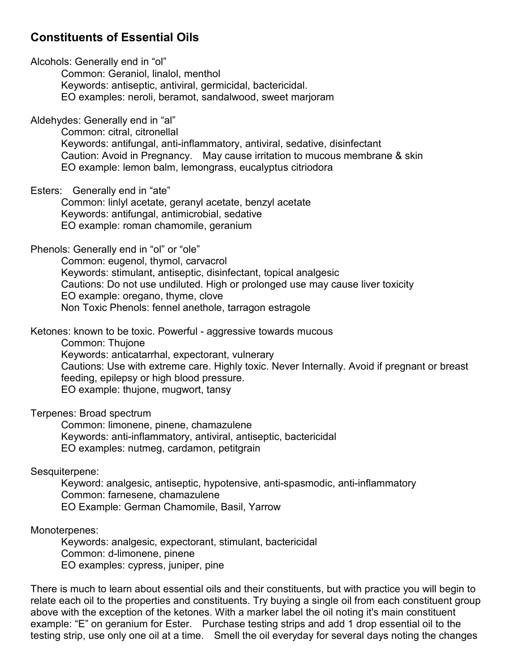#### **Constituents of Essential Oils**

Alcohols: Generally end in "ol"

Common: Geraniol, linalol, menthol Keywords: antiseptic, antiviral, germicidal, bactericidal. EO examples: neroli, beramot, sandalwood, sweet marjoram

Aldehydes: Generally end in "al"

Common: citral, citronellal Keywords: antifungal, anti-inflammatory, antiviral, sedative, disinfectant Caution: Avoid in Pregnancy. May cause irritation to mucous membrane & skin EO example: lemon balm, lemongrass, eucalyptus citriodora

Esters: Generally end in "ate"

Common: linlyl acetate, geranyl acetate, benzyl acetate Keywords: antifungal, antimicrobial, sedative EO example: roman chamomile, geranium

#### Phenols: Generally end in "ol" or "ole"

Common: eugenol, thymol, carvacrol Keywords: stimulant, antiseptic, disinfectant, topical analgesic Cautions: Do not use undiluted. High or prolonged use may cause liver toxicity EO example: oregano, thyme, clove Non Toxic Phenols: fennel anethole, tarragon estragole

Ketones: known to be toxic. Powerful - aggressive towards mucous

Common: Thujone

Keywords: anticatarrhal, expectorant, vulnerary

Cautions: Use with extreme care. Highly toxic. Never Internally. Avoid if pregnant or breast feeding, epilepsy or high blood pressure. EO example: thujone, mugwort, tansy

Terpenes: Broad spectrum

Common: limonene, pinene, chamazulene Keywords: anti-inflammatory, antiviral, antiseptic, bactericidal EO examples: nutmeg, cardamon, petitgrain

Sesquiterpene:

Keyword: analgesic, antiseptic, hypotensive, anti-spasmodic, anti-inflammatory Common: farnesene, chamazulene EO Example: German Chamomile, Basil, Yarrow

Monoterpenes:

Keywords: analgesic, expectorant, stimulant, bactericidal Common: d-limonene, pinene EO examples: cypress, juniper, pine

There is much to learn about essential oils and their constituents, but with practice you will begin to relate each oil to the properties and constituents. Try buying a single oil from each constituent group above with the exception of the ketones. With a marker label the oil noting it's main constituent example: "E" on geranium for Ester. Purchase testing strips and add 1 drop essential oil to the testing strip, use only one oil at a time. Smell the oil everyday for several days noting the changes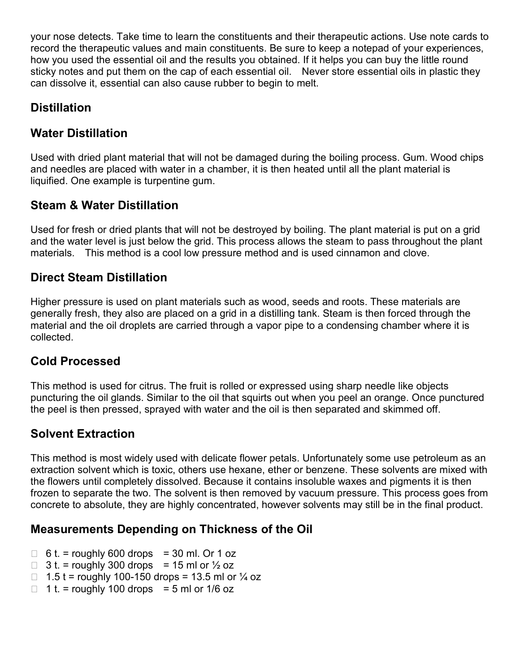your nose detects. Take time to learn the constituents and their therapeutic actions. Use note cards to record the therapeutic values and main constituents. Be sure to keep a notepad of your experiences, how you used the essential oil and the results you obtained. If it helps you can buy the little round sticky notes and put them on the cap of each essential oil. Never store essential oils in plastic they can dissolve it, essential can also cause rubber to begin to melt.

# **Distillation**

# **Water Distillation**

Used with dried plant material that will not be damaged during the boiling process. Gum. Wood chips and needles are placed with water in a chamber, it is then heated until all the plant material is liquified. One example is turpentine gum.

# **Steam & Water Distillation**

Used for fresh or dried plants that will not be destroyed by boiling. The plant material is put on a grid and the water level is just below the grid. This process allows the steam to pass throughout the plant materials. This method is a cool low pressure method and is used cinnamon and clove.

#### **Direct Steam Distillation**

Higher pressure is used on plant materials such as wood, seeds and roots. These materials are generally fresh, they also are placed on a grid in a distilling tank. Steam is then forced through the material and the oil droplets are carried through a vapor pipe to a condensing chamber where it is collected.

# **Cold Processed**

This method is used for citrus. The fruit is rolled or expressed using sharp needle like objects puncturing the oil glands. Similar to the oil that squirts out when you peel an orange. Once punctured the peel is then pressed, sprayed with water and the oil is then separated and skimmed off.

# **Solvent Extraction**

This method is most widely used with delicate flower petals. Unfortunately some use petroleum as an extraction solvent which is toxic, others use hexane, ether or benzene. These solvents are mixed with the flowers until completely dissolved. Because it contains insoluble waxes and pigments it is then frozen to separate the two. The solvent is then removed by vacuum pressure. This process goes from concrete to absolute, they are highly concentrated, however solvents may still be in the final product.

#### **Measurements Depending on Thickness of the Oil**

- N  $6 t =$  roughly 600 drops = 30 ml. Or 1 oz
- N  $3t =$  roughly 300 drops = 15 ml or  $\frac{1}{2}$  oz
- N 1.5 t = roughly 100-150 drops = 13.5 ml or  $\frac{1}{4}$  oz
- N 1 t. = roughly 100 drops = 5 ml or  $1/6$  oz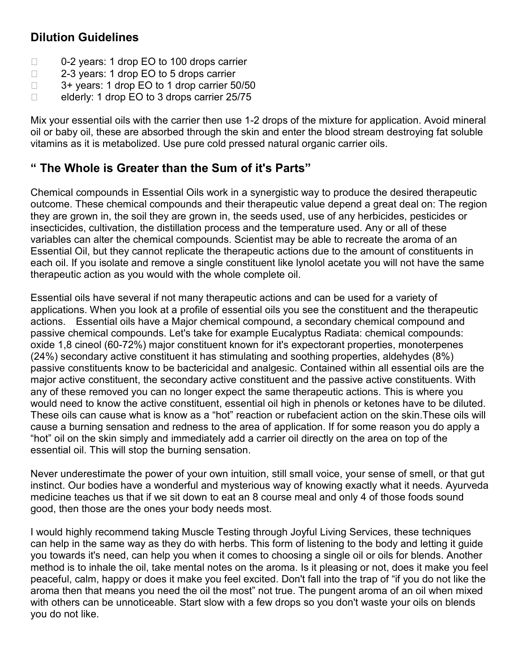# **Dilution Guidelines**

- N 0-2 years: 1 drop EO to 100 drops carrier
- N 2-3 years: 1 drop EO to 5 drops carrier
- N 3+ years: 1 drop EO to 1 drop carrier 50/50
- N elderly: 1 drop EO to 3 drops carrier 25/75

Mix your essential oils with the carrier then use 1-2 drops of the mixture for application. Avoid mineral oil or baby oil, these are absorbed through the skin and enter the blood stream destroying fat soluble vitamins as it is metabolized. Use pure cold pressed natural organic carrier oils.

# **" The Whole is Greater than the Sum of it's Parts"**

Chemical compounds in Essential Oils work in a synergistic way to produce the desired therapeutic outcome. These chemical compounds and their therapeutic value depend a great deal on: The region they are grown in, the soil they are grown in, the seeds used, use of any herbicides, pesticides or insecticides, cultivation, the distillation process and the temperature used. Any or all of these variables can alter the chemical compounds. Scientist may be able to recreate the aroma of an Essential Oil, but they cannot replicate the therapeutic actions due to the amount of constituents in each oil. If you isolate and remove a single constituent like lynolol acetate you will not have the same therapeutic action as you would with the whole complete oil.

Essential oils have several if not many therapeutic actions and can be used for a variety of applications. When you look at a profile of essential oils you see the constituent and the therapeutic actions. Essential oils have a Major chemical compound, a secondary chemical compound and passive chemical compounds. Let's take for example Eucalyptus Radiata: chemical compounds: oxide 1,8 cineol (60-72%) major constituent known for it's expectorant properties, monoterpenes (24%) secondary active constituent it has stimulating and soothing properties, aldehydes (8%) passive constituents know to be bactericidal and analgesic. Contained within all essential oils are the major active constituent, the secondary active constituent and the passive active constituents. With any of these removed you can no longer expect the same therapeutic actions. This is where you would need to know the active constituent, essential oil high in phenols or ketones have to be diluted. These oils can cause what is know as a "hot" reaction or rubefacient action on the skin.These oils will cause a burning sensation and redness to the area of application. If for some reason you do apply a "hot" oil on the skin simply and immediately add a carrier oil directly on the area on top of the essential oil. This will stop the burning sensation.

Never underestimate the power of your own intuition, still small voice, your sense of smell, or that gut instinct. Our bodies have a wonderful and mysterious way of knowing exactly what it needs. Ayurveda medicine teaches us that if we sit down to eat an 8 course meal and only 4 of those foods sound good, then those are the ones your body needs most.

I would highly recommend taking Muscle Testing through Joyful Living Services, these techniques can help in the same way as they do with herbs. This form of listening to the body and letting it guide you towards it's need, can help you when it comes to choosing a single oil or oils for blends. Another method is to inhale the oil, take mental notes on the aroma. Is it pleasing or not, does it make you feel peaceful, calm, happy or does it make you feel excited. Don't fall into the trap of "if you do not like the aroma then that means you need the oil the most" not true. The pungent aroma of an oil when mixed with others can be unnoticeable. Start slow with a few drops so you don't waste your oils on blends you do not like.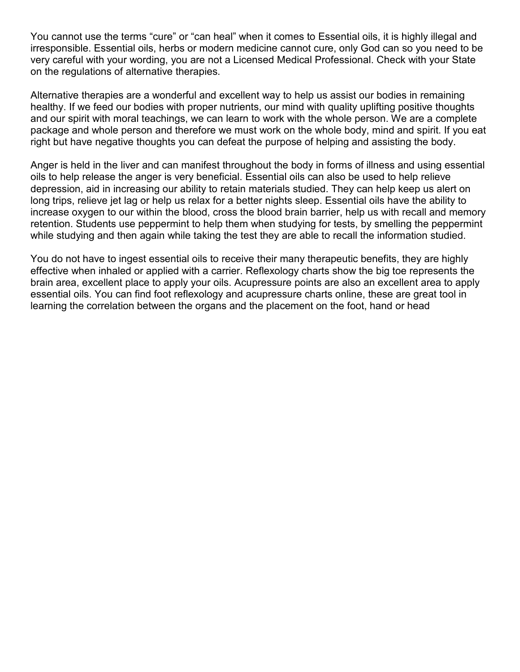You cannot use the terms "cure" or "can heal" when it comes to Essential oils, it is highly illegal and irresponsible. Essential oils, herbs or modern medicine cannot cure, only God can so you need to be very careful with your wording, you are not a Licensed Medical Professional. Check with your State on the regulations of alternative therapies.

Alternative therapies are a wonderful and excellent way to help us assist our bodies in remaining healthy. If we feed our bodies with proper nutrients, our mind with quality uplifting positive thoughts and our spirit with moral teachings, we can learn to work with the whole person. We are a complete package and whole person and therefore we must work on the whole body, mind and spirit. If you eat right but have negative thoughts you can defeat the purpose of helping and assisting the body.

Anger is held in the liver and can manifest throughout the body in forms of illness and using essential oils to help release the anger is very beneficial. Essential oils can also be used to help relieve depression, aid in increasing our ability to retain materials studied. They can help keep us alert on long trips, relieve jet lag or help us relax for a better nights sleep. Essential oils have the ability to increase oxygen to our within the blood, cross the blood brain barrier, help us with recall and memory retention. Students use peppermint to help them when studying for tests, by smelling the peppermint while studying and then again while taking the test they are able to recall the information studied.

You do not have to ingest essential oils to receive their many therapeutic benefits, they are highly effective when inhaled or applied with a carrier. Reflexology charts show the big toe represents the brain area, excellent place to apply your oils. Acupressure points are also an excellent area to apply essential oils. You can find foot reflexology and acupressure charts online, these are great tool in learning the correlation between the organs and the placement on the foot, hand or head